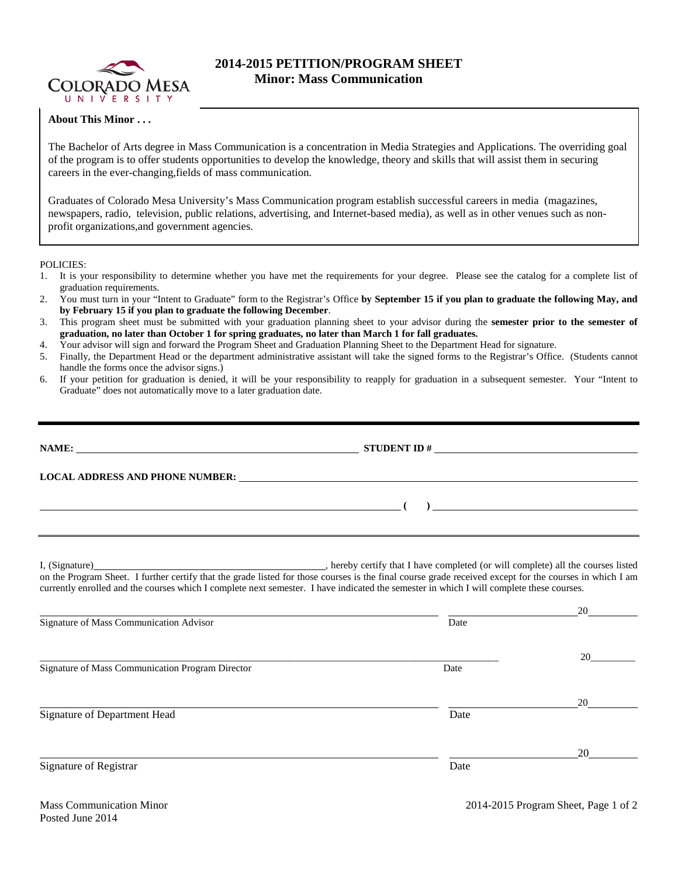

## **2014-2015 PETITION/PROGRAM SHEET Minor: Mass Communication**

## **About This Minor . . .**

The Bachelor of Arts degree in Mass Communication is a concentration in Media Strategies and Applications. The overriding goal of the program is to offer students opportunities to develop the knowledge, theory and skills that will assist them in securing careers in the ever-changing,fields of mass communication.

Graduates of Colorado Mesa University's Mass Communication program establish successful careers in media (magazines, newspapers, radio, television, public relations, advertising, and Internet-based media), as well as in other venues such as nonprofit organizations,and government agencies.

POLICIES:

- 1. It is your responsibility to determine whether you have met the requirements for your degree. Please see the catalog for a complete list of graduation requirements.
- 2. You must turn in your "Intent to Graduate" form to the Registrar's Office **by September 15 if you plan to graduate the following May, and by February 15 if you plan to graduate the following December**.
- 3. This program sheet must be submitted with your graduation planning sheet to your advisor during the **semester prior to the semester of graduation, no later than October 1 for spring graduates, no later than March 1 for fall graduates.**
- 4. Your advisor will sign and forward the Program Sheet and Graduation Planning Sheet to the Department Head for signature.
- 5. Finally, the Department Head or the department administrative assistant will take the signed forms to the Registrar's Office. (Students cannot handle the forms once the advisor signs.)
- 6. If your petition for graduation is denied, it will be your responsibility to reapply for graduation in a subsequent semester. Your "Intent to Graduate" does not automatically move to a later graduation date.

|                                         | $\overline{a}$ (b) and $\overline{a}$ (c) and $\overline{a}$ (c) and $\overline{a}$ (c) and $\overline{a}$ (c) and $\overline{a}$ (c) and $\overline{a}$ (c) and $\overline{a}$ (c) and $\overline{a}$ (c) and $\overline{a}$ (c) and $\overline{a}$ (c) and $\overline{a}$ (c) and $\overline{a}$ (c) and |
|-----------------------------------------|------------------------------------------------------------------------------------------------------------------------------------------------------------------------------------------------------------------------------------------------------------------------------------------------------------|
|                                         |                                                                                                                                                                                                                                                                                                            |
|                                         | on the Program Sheet. I further certify that the grade listed for those courses is the final course grade received except for the courses in which I am<br>currently enrolled and the courses which I complete next semester. I have indicated the semester in which I will complete these courses.        |
| Signature of Mass Communication Advisor | Date                                                                                                                                                                                                                                                                                                       |

 $\_$  20 $\_$  20 $\_$   $\_$ 

Signature of Mass Communication Program Director Date

Signature of Department Head Date Date of Department Head

20

Signature of Registrar Date and Security 2014 and 2016 and 2016 and 2016 and 2016 and 2016 and 2016 and 2016 and 2016 and 2016 and 2016 and 2016 and 2016 and 2016 and 2016 and 2016 and 2016 and 2016 and 2016 and 2016 and 2

20